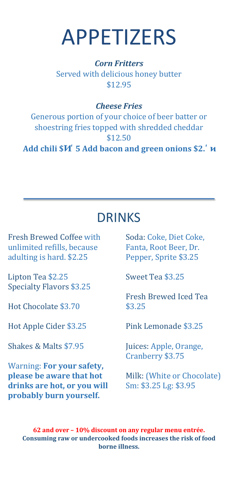# APPETIZERS

*Corn Fritters* Served with delicious honey butter \$12.95

### *Cheese Fries*

Generous portion of your choice of beer batter or shoestring fries topped with shredded cheddar \$12.50

**Add chili \$** . **5 Add bacon and green onions \$2.** 

### DRINKS

Fresh Brewed Coffee with unlimited refills, because adulting is hard. \$2.25

Lipton Tea \$2.25 Specialty Flavors \$3.25

Hot Chocolate \$3.70

Hot Apple Cider \$3.25

Shakes & Malts \$7.95

Warning: **For your safety, please be aware that hot drinks are hot, or you will probably burn yourself.**

Soda: Coke, Diet Coke, Fanta, Root Beer, Dr. Pepper, Sprite \$3.25

Sweet Tea \$3.25

Fresh Brewed Iced Tea \$3.25

Pink Lemonade \$3.25

Juices: Apple, Orange, Cranberry \$3.75

Milk: (White or Chocolate) Sm: \$3.25 Lg: \$3.95

**62 and over – 10% discount on any regular menu entrée. Consuming raw or undercooked foods increases the risk of food borne illness.**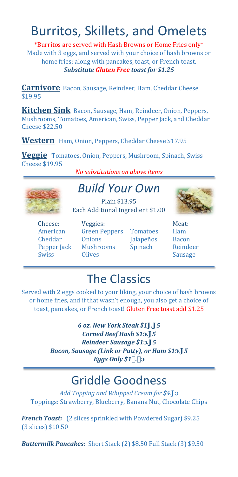# Burritos, Skillets, and Omelets

\*Burritos are served with Hash Browns or Home Fries only\* Made with 3 eggs, and served with your choice of hash browns or home fries; along with pancakes, toast, or French toast. *Substitute Gluten Free toast for \$1.25*

**Carnivore** Bacon, Sausage, Reindeer, Ham, Cheddar Cheese \$19.95

**Kitchen Sink** Bacon, Sausage, Ham, Reindeer, Onion, Peppers, Mushrooms, Tomatoes, American, Swiss, Pepper Jack, and Cheddar Cheese \$22.50

**Western** Ham, Onion, Peppers, Cheddar Cheese \$17.9<sup>5</sup>

**Veggie** Tomatoes, Onion, Peppers, Mushroom, Spinach, Swiss Cheese \$19.95

*No substitutions on above items*



### *Build Your Own*

Plain \$13.95 Each Additional Ingredient \$1.00

Cheese: American Cheddar Pepper Jack Swiss

Veggies: Green Peppers **Onions** Mushrooms **Olives** 

Tomatoes **Jalapeños** Spinach



Meat: Ham Bacon Reindeer Sausage

# The Classics

Served with 2 eggs cooked to your liking, your choice of hash browns or home fries, and if that wasn't enough, you also get a choice of toast, pancakes, or French toast! Gluten Free toast add \$1.25

> *6 oz. New York Steak \$1 . 5 Corned Beef Hash \$1 . 5 Reindeer Sausage \$1 . 5 Bacon, Sausage (Link or Patty), or Ham \$1 . 5 Eggs Only \$1.*

### Griddle Goodness

*Add Topping and Whipped Cream for \$4.* Toppings: Strawberry, Blueberry, Banana Nut, Chocolate Chips

*French Toast:* (2 slices sprinkled with Powdered Sugar) \$9.25 (3 slices) \$10.50

*Buttermilk Pancakes:* Short Stack (2) \$8.50 Full Stack (3) \$9.50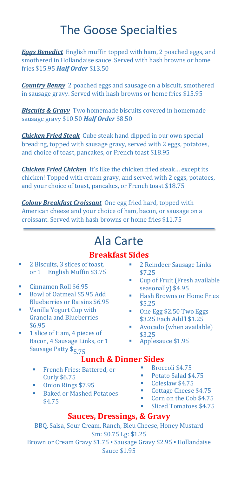### The Goose Specialties

*Eggs Benedict* English muffin topped with ham, 2 poached eggs, and smothered in Hollandaise sauce. Served with hash browns or home fries \$15.95 *Half Order* \$13.50

*Country Benny* 2 poached eggs and sausage on a biscuit, smothered in sausage gravy. Served with hash browns or home fries \$15.95

*Biscuits & Gravy* Two homemade biscuits covered in homemade sausage gravy \$10.50 *Half Order* \$8.50

*Chicken Fried Steak* Cube steak hand dipped in our own special breading, topped with sausage gravy, served with 2 eggs, potatoes, and choice of toast, pancakes, or French toast \$18.95

*Chicken Fried Chicken* It's like the chicken fried steak… except its chicken! Topped with cream gravy, and served with 2 eggs, potatoes, and your choice of toast, pancakes, or French toast \$18.75

*Colony Breakfast Croissant* One egg fried hard, topped with American cheese and your choice of ham, bacon, or sausage on a croissant. Served with hash browns or home fries \$11.75

### Ala Carte

### **Breakfast Sides**

- 2 Biscuits, 3 slices of toast, or 1 English Muffin \$3.75
- Cinnamon Roll  $$6.95$
- Bowl of Oatmeal \$5.95 Add Blueberries or Raisins \$6.95
- Vanilla Yogurt Cup with Granola and Blueberries \$6.95
- **1** slice of Ham, 4 pieces of Bacon, 4 Sausage Links, or 1 Sausage Patty \$<sub>5.75</sub>
- **2 Reindeer Sausage Links** \$7.25
- Cup of Fruit (Fresh available seasonally) \$4.95
- Hash Browns or Home Fries \$5.25
- One Egg \$2.50 Two Eggs \$3.25 Each Add'l \$1.25
- **Avocado (when available)**<br>\$3.25
- Applesauce \$1.95

### **Lunch & Dinner Sides**

- French Fries: Battered, or Curly \$6.75
- Onion Rings \$7.95
- Baked or Mashed Potatoes \$4.75
- Broccoli  $$4.75$ <br>Botato Salad  $$4$
- Potato Salad \$4.75
- Coleslaw  $$4.75$
- Cottage Cheese  $$4.75$
- Corn on the Cob \$4.75
- Sliced Tomatoes \$4.75

### **Sauces, Dressings, & Gravy**

BBQ, Salsa, Sour Cream, Ranch, Bleu Cheese, Honey Mustard Sm: \$0.75 Lg: \$1.25 Brown or Cream Gravy \$1.75 · Sausage Gravy \$2.95 · Hollandaise Sauce \$1.95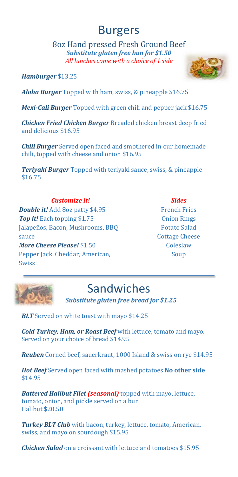### Burgers

8oz Hand pressed Fresh Ground Beef *Substitute gluten free bun for \$1.50 All lunches come with a choice of 1 side*

*Hamburger* \$13.25

*Aloha Burger* Topped with ham, swiss, & pineapple \$16.75

*Mexi-Cali Burger* Topped with green chili and pepper jack \$16.75

*Chicken Fried Chicken Burger* Breaded chicken breast deep fried and delicious \$16.95

*Chili Burger* Served open faced and smothered in our homemade chili, topped with cheese and onion \$16.95

*Teriyaki Burger* Topped with teriyaki sauce, swiss, & pineapple \$16.75

#### *Customize it!*

*Double it!* Add 8oz patty \$4.95 *Top it!* Each topping \$1.75 Jalapeños, Bacon, Mushrooms, BBQ sauce *More Cheese Please!* \$1.50 Pepper Jack, Cheddar, American, Swiss

*Sides* French Fries Onion Rings Potato Salad Cottage Cheese **Coleslaw** Soup



# Sandwiches

 *Substitute gluten free bread for \$1.25*

**BLT** Served on white toast with mayo \$14.25

*Cold Turkey, Ham, or Roast Beef* with lettuce, tomato and mayo. Served on your choice of bread \$14.95

*Reuben* Corned beef, sauerkraut, 1000 Island & swiss on rye \$14.95

*Hot Beef* Served open faced with mashed potatoes **No other side** \$14.95

*Battered Halibut Filet (seasonal)* topped with mayo, lettuce, tomato, onion, and pickle served on a bun Halibut \$20.50

*Turkey BLT Club* with bacon, turkey, lettuce, tomato, American, swiss, and mayo on sourdough \$15.95

*Chicken Salad* on a croissant with lettuce and tomatoes \$15.95

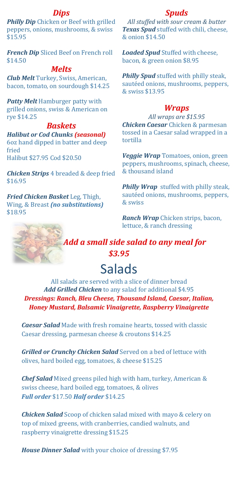#### *Dips*

**Philly Dip** Chicken or Beef with grilled peppers, onions, mushrooms, & swiss \$15.95

*French Dip* Sliced Beef on French roll \$14.50

#### *Melts*

*Club Melt* Turkey, Swiss, American, bacon, tomato, on sourdough \$14.25

*Patty Melt* Hamburger patty with grilled onions, swiss & American on rye \$14.25

#### *Baskets*

*Halibut or Cod Chunks (seasonal)*  6oz hand dipped in batter and deep fried

Halibut \$27.95 Cod \$20.50

*Chicken Strips* 4 breaded & deep fried \$16.95

*Fried Chicken Basket* Leg, Thigh, Wing, & Breast *(no substitutions)*  \$18.95

#### *Spuds*

*All stuffed with sour cream & butter Texas Spud* stuffed with chili, cheese, & onion \$14.50

*Loaded Spud* Stuffed with cheese, bacon, & green onion \$8.95

*Philly Spud* stuffed with philly steak, sautéed onions, mushrooms, peppers, & swiss \$13.95

#### *Wraps*

*All wraps are \$15.95 Chicken Caesar* Chicken & parmesan tossed in a Caesar salad wrapped in a tortilla

*Veggie Wrap* Tomatoes, onion, green peppers, mushrooms, spinach, cheese, & thousand island

*Philly Wrap* stuffed with philly steak, sautéed onions, mushrooms, peppers, & swiss

*Ranch Wrap* Chicken strips, bacon, lettuce, & ranch dressing



 *Add a small side salad to any meal for \$3.95*

# Salads

All salads are served with a slice of dinner bread *Add Grilled Chicken* to any salad for additional \$4.95 *Dressings: Ranch, Bleu Cheese, Thousand Island, Caesar, Italian, Honey Mustard, Balsamic Vinaigrette, Raspberry Vinaigrette* 

*Caesar Salad* Made with fresh romaine hearts, tossed with classic Caesar dressing, parmesan cheese & croutons \$14.25

*Grilled or Crunchy Chicken Salad* Served on a bed of lettuce with olives, hard boiled egg, tomatoes, & cheese \$15.25

*Chef Salad* Mixed greens piled high with ham, turkey, American & swiss cheese, hard boiled egg, tomatoes, & olives *Full order* \$17.50 *Half order* \$14.25

*Chicken Salad* Scoop of chicken salad mixed with mayo & celery on top of mixed greens, with cranberries, candied walnuts, and raspberry vinaigrette dressing \$15.25

*House Dinner Salad* with your choice of dressing \$7.95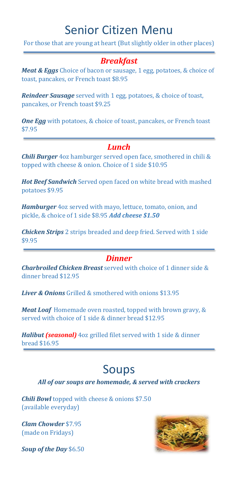### Senior Citizen Menu

For those that are young at heart (But slightly older in other places)

### *Breakfast*

*Meat & Eggs* Choice of bacon or sausage, 1 egg, potatoes, & choice of toast, pancakes, or French toast \$8.95

*Reindeer Sausage* served with 1 egg, potatoes, & choice of toast, pancakes, or French toast \$9.25

*One Egg* with potatoes, & choice of toast, pancakes, or French toast \$7.95

### *Lunch*

*Chili Burger* 4oz hamburger served open face, smothered in chili & topped with cheese & onion. Choice of 1 side \$10.95

*Hot Beef Sandwich* Served open faced on white bread with mashed potatoes \$9.95

*Hamburger* 4oz served with mayo, lettuce, tomato, onion, and pickle, & choice of 1 side \$8.95 *Add cheese \$1.50*

*Chicken Strips* 2 strips breaded and deep fried. Served with 1 side \$9.95

#### *Dinner*

*Charbroiled Chicken Breast* served with choice of 1 dinner side & dinner bread \$12.95

*Liver & Onions* Grilled & smothered with onions \$13.95

*Meat Loaf* Homemade oven roasted, topped with brown gravy, & served with choice of 1 side & dinner bread \$12.95

*Halibut (seasonal)* 4oz grilled filet served with 1 side & dinner bread \$16.95

### Soups

#### *All of our soups are homemade, & served with crackers*

*Chili Bowl* topped with cheese & onions \$7.50 (available everyday)

*Clam Chowder* \$7.95 (made on Fridays)



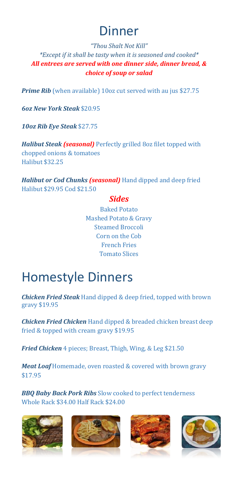# Dinner

#### *"Thou Shalt Not Kill" \*Except if it shall be tasty when it is seasoned and cooked\* All entrees are served with one dinner side, dinner bread, & choice of soup or salad*

**Prime Rib** (when available) 10oz cut served with au jus \$27.75

*6oz New York Steak* \$20.95

*10oz Rib Eye Steak* \$27.75

*Halibut Steak (seasonal)* Perfectly grilled 8oz filet topped with chopped onions & tomatoes Halibut \$32.25

*Halibut or Cod Chunks (seasonal)* Hand dipped and deep fried Halibut \$29.95 Cod \$21.50

#### *Sides*

Baked Potato Mashed Potato & Gravy Steamed Broccoli Corn on the Cob French Fries Tomato Slices

# Homestyle Dinners

*Chicken Fried Steak* Hand dipped & deep fried, topped with brown gravy \$19.95

*Chicken Fried Chicken* Hand dipped & breaded chicken breast deep fried & topped with cream gravy \$19.95

*Fried Chicken* 4 pieces; Breast, Thigh, Wing, & Leg \$21.50

*Meat Loaf* Homemade, oven roasted & covered with brown gravy \$17.95

*BBQ Baby Back Pork Ribs* Slow cooked to perfect tenderness Whole Rack \$34.00 Half Rack \$24.00